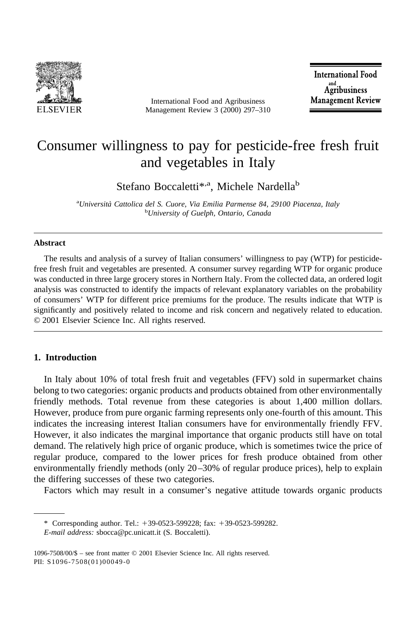

International Food and Agribusiness Management Review 3 (2000) 297–310

**International Food** Agribusiness **Management Review** 

# Consumer willingness to pay for pesticide-free fresh fruit and vegetables in Italy

Stefano Boccaletti<sup>\*,a</sup>, Michele Nardella<sup>b</sup>

a *Universita` Cattolica del S. Cuore, Via Emilia Parmense 84, 29100 Piacenza, Italy* <sup>b</sup> *University of Guelph, Ontario, Canada*

#### **Abstract**

The results and analysis of a survey of Italian consumers' willingness to pay (WTP) for pesticidefree fresh fruit and vegetables are presented. A consumer survey regarding WTP for organic produce was conducted in three large grocery stores in Northern Italy. From the collected data, an ordered logit analysis was constructed to identify the impacts of relevant explanatory variables on the probability of consumers' WTP for different price premiums for the produce. The results indicate that WTP is significantly and positively related to income and risk concern and negatively related to education. © 2001 Elsevier Science Inc. All rights reserved.

# **1. Introduction**

In Italy about 10% of total fresh fruit and vegetables (FFV) sold in supermarket chains belong to two categories: organic products and products obtained from other environmentally friendly methods. Total revenue from these categories is about 1,400 million dollars. However, produce from pure organic farming represents only one-fourth of this amount. This indicates the increasing interest Italian consumers have for environmentally friendly FFV. However, it also indicates the marginal importance that organic products still have on total demand. The relatively high price of organic produce, which is sometimes twice the price of regular produce, compared to the lower prices for fresh produce obtained from other environmentally friendly methods (only 20–30% of regular produce prices), help to explain the differing successes of these two categories.

Factors which may result in a consumer's negative attitude towards organic products

<sup>\*</sup> Corresponding author. Tel.: +39-0523-599228; fax: +39-0523-599282. *E-mail address:* sbocca@pc.unicatt.it (S. Boccaletti).

<sup>1096-7508/00/\$ –</sup> see front matter © 2001 Elsevier Science Inc. All rights reserved. PII: S1096-7508(01)00049-0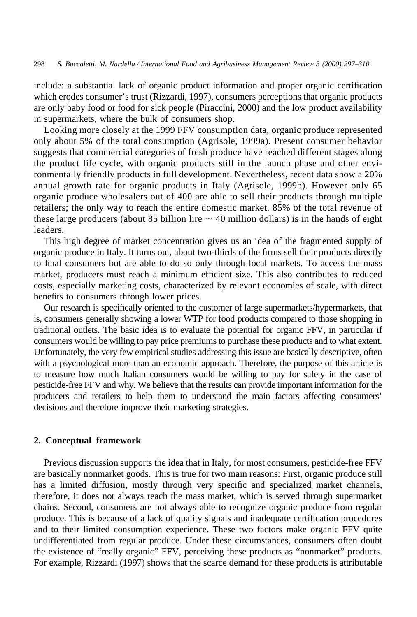include: a substantial lack of organic product information and proper organic certification which erodes consumer's trust (Rizzardi, 1997), consumers perceptions that organic products are only baby food or food for sick people (Piraccini, 2000) and the low product availability in supermarkets, where the bulk of consumers shop.

Looking more closely at the 1999 FFV consumption data, organic produce represented only about 5% of the total consumption (Agrisole, 1999a). Present consumer behavior suggests that commercial categories of fresh produce have reached different stages along the product life cycle, with organic products still in the launch phase and other environmentally friendly products in full development. Nevertheless, recent data show a 20% annual growth rate for organic products in Italy (Agrisole, 1999b). However only 65 organic produce wholesalers out of 400 are able to sell their products through multiple retailers; the only way to reach the entire domestic market. 85% of the total revenue of these large producers (about 85 billion lire  $\sim$  40 million dollars) is in the hands of eight leaders.

This high degree of market concentration gives us an idea of the fragmented supply of organic produce in Italy. It turns out, about two-thirds of the firms sell their products directly to final consumers but are able to do so only through local markets. To access the mass market, producers must reach a minimum efficient size. This also contributes to reduced costs, especially marketing costs, characterized by relevant economies of scale, with direct benefits to consumers through lower prices.

Our research is specifically oriented to the customer of large supermarkets/hypermarkets, that is, consumers generally showing a lower WTP for food products compared to those shopping in traditional outlets. The basic idea is to evaluate the potential for organic FFV, in particular if consumers would be willing to pay price premiums to purchase these products and to what extent. Unfortunately, the very few empirical studies addressing this issue are basically descriptive, often with a psychological more than an economic approach. Therefore, the purpose of this article is to measure how much Italian consumers would be willing to pay for safety in the case of pesticide-free FFV and why. We believe that the results can provide important information for the producers and retailers to help them to understand the main factors affecting consumers' decisions and therefore improve their marketing strategies.

## **2. Conceptual framework**

Previous discussion supports the idea that in Italy, for most consumers, pesticide-free FFV are basically nonmarket goods. This is true for two main reasons: First, organic produce still has a limited diffusion, mostly through very specific and specialized market channels, therefore, it does not always reach the mass market, which is served through supermarket chains. Second, consumers are not always able to recognize organic produce from regular produce. This is because of a lack of quality signals and inadequate certification procedures and to their limited consumption experience. These two factors make organic FFV quite undifferentiated from regular produce. Under these circumstances, consumers often doubt the existence of "really organic" FFV, perceiving these products as "nonmarket" products. For example, Rizzardi (1997) shows that the scarce demand for these products is attributable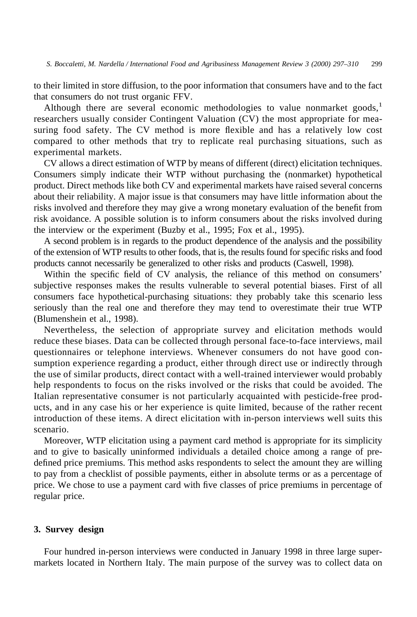to their limited in store diffusion, to the poor information that consumers have and to the fact that consumers do not trust organic FFV.

Although there are several economic methodologies to value nonmarket goods, $<sup>1</sup>$ </sup> researchers usually consider Contingent Valuation (CV) the most appropriate for measuring food safety. The CV method is more flexible and has a relatively low cost compared to other methods that try to replicate real purchasing situations, such as experimental markets.

CV allows a direct estimation of WTP by means of different (direct) elicitation techniques. Consumers simply indicate their WTP without purchasing the (nonmarket) hypothetical product. Direct methods like both CV and experimental markets have raised several concerns about their reliability. A major issue is that consumers may have little information about the risks involved and therefore they may give a wrong monetary evaluation of the benefit from risk avoidance. A possible solution is to inform consumers about the risks involved during the interview or the experiment (Buzby et al., 1995; Fox et al., 1995).

A second problem is in regards to the product dependence of the analysis and the possibility of the extension of WTP results to other foods, that is, the results found for specific risks and food products cannot necessarily be generalized to other risks and products (Caswell, 1998).

Within the specific field of CV analysis, the reliance of this method on consumers' subjective responses makes the results vulnerable to several potential biases. First of all consumers face hypothetical-purchasing situations: they probably take this scenario less seriously than the real one and therefore they may tend to overestimate their true WTP (Blumenshein et al., 1998).

Nevertheless, the selection of appropriate survey and elicitation methods would reduce these biases. Data can be collected through personal face-to-face interviews, mail questionnaires or telephone interviews. Whenever consumers do not have good consumption experience regarding a product, either through direct use or indirectly through the use of similar products, direct contact with a well-trained interviewer would probably help respondents to focus on the risks involved or the risks that could be avoided. The Italian representative consumer is not particularly acquainted with pesticide-free products, and in any case his or her experience is quite limited, because of the rather recent introduction of these items. A direct elicitation with in-person interviews well suits this scenario.

Moreover, WTP elicitation using a payment card method is appropriate for its simplicity and to give to basically uninformed individuals a detailed choice among a range of predefined price premiums. This method asks respondents to select the amount they are willing to pay from a checklist of possible payments, either in absolute terms or as a percentage of price. We chose to use a payment card with five classes of price premiums in percentage of regular price.

## **3. Survey design**

Four hundred in-person interviews were conducted in January 1998 in three large supermarkets located in Northern Italy. The main purpose of the survey was to collect data on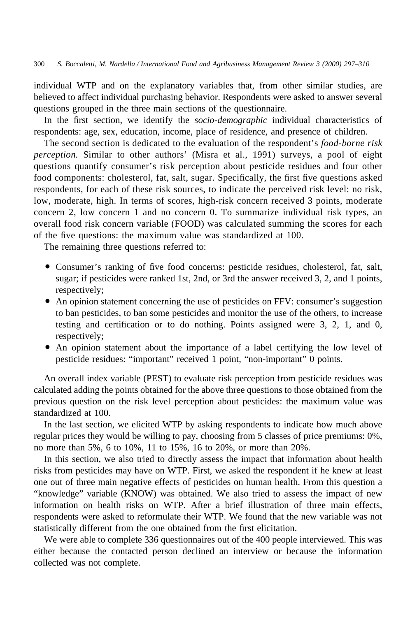individual WTP and on the explanatory variables that, from other similar studies, are believed to affect individual purchasing behavior. Respondents were asked to answer several questions grouped in the three main sections of the questionnaire.

In the first section, we identify the *socio-demographic* individual characteristics of respondents: age, sex, education, income, place of residence, and presence of children.

The second section is dedicated to the evaluation of the respondent's *food-borne risk perception.* Similar to other authors' (Misra et al., 1991) surveys, a pool of eight questions quantify consumer's risk perception about pesticide residues and four other food components: cholesterol, fat, salt, sugar. Specifically, the first five questions asked respondents, for each of these risk sources, to indicate the perceived risk level: no risk, low, moderate, high. In terms of scores, high-risk concern received 3 points, moderate concern 2, low concern 1 and no concern 0. To summarize individual risk types, an overall food risk concern variable (FOOD) was calculated summing the scores for each of the five questions: the maximum value was standardized at 100.

The remaining three questions referred to:

- Consumer's ranking of five food concerns: pesticide residues, cholesterol, fat, salt, sugar; if pesticides were ranked 1st, 2nd, or 3rd the answer received 3, 2, and 1 points, respectively;
- An opinion statement concerning the use of pesticides on FFV: consumer's suggestion to ban pesticides, to ban some pesticides and monitor the use of the others, to increase testing and certification or to do nothing. Points assigned were 3, 2, 1, and 0, respectively;
- An opinion statement about the importance of a label certifying the low level of pesticide residues: "important" received 1 point, "non-important" 0 points.

An overall index variable (PEST) to evaluate risk perception from pesticide residues was calculated adding the points obtained for the above three questions to those obtained from the previous question on the risk level perception about pesticides: the maximum value was standardized at 100.

In the last section, we elicited WTP by asking respondents to indicate how much above regular prices they would be willing to pay, choosing from 5 classes of price premiums: 0%, no more than 5%, 6 to 10%, 11 to 15%, 16 to 20%, or more than 20%.

In this section, we also tried to directly assess the impact that information about health risks from pesticides may have on WTP. First, we asked the respondent if he knew at least one out of three main negative effects of pesticides on human health. From this question a "knowledge" variable (KNOW) was obtained. We also tried to assess the impact of new information on health risks on WTP. After a brief illustration of three main effects, respondents were asked to reformulate their WTP. We found that the new variable was not statistically different from the one obtained from the first elicitation.

We were able to complete 336 questionnaires out of the 400 people interviewed. This was either because the contacted person declined an interview or because the information collected was not complete.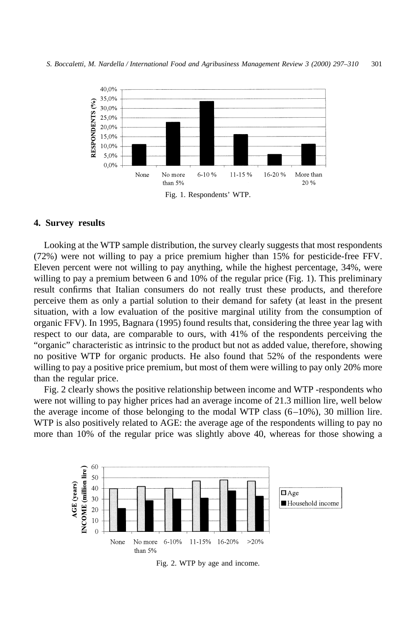

#### **4. Survey results**

Looking at the WTP sample distribution, the survey clearly suggests that most respondents (72%) were not willing to pay a price premium higher than 15% for pesticide-free FFV. Eleven percent were not willing to pay anything, while the highest percentage, 34%, were willing to pay a premium between 6 and 10% of the regular price (Fig. 1). This preliminary result confirms that Italian consumers do not really trust these products, and therefore perceive them as only a partial solution to their demand for safety (at least in the present situation, with a low evaluation of the positive marginal utility from the consumption of organic FFV). In 1995, Bagnara (1995) found results that, considering the three year lag with respect to our data, are comparable to ours, with 41% of the respondents perceiving the "organic" characteristic as intrinsic to the product but not as added value, therefore, showing no positive WTP for organic products. He also found that 52% of the respondents were willing to pay a positive price premium, but most of them were willing to pay only 20% more than the regular price.

Fig. 2 clearly shows the positive relationship between income and WTP -respondents who were not willing to pay higher prices had an average income of 21.3 million lire, well below the average income of those belonging to the modal WTP class  $(6-10\%)$ , 30 million lire. WTP is also positively related to AGE: the average age of the respondents willing to pay no more than 10% of the regular price was slightly above 40, whereas for those showing a



Fig. 2. WTP by age and income.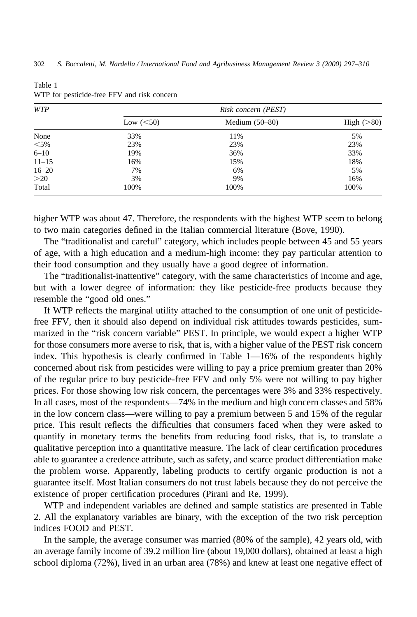| <b>WTP</b> | Risk concern (PEST) |                  |              |  |  |  |  |  |
|------------|---------------------|------------------|--------------|--|--|--|--|--|
|            | Low $(<50)$         | Medium $(50-80)$ | High $(>80)$ |  |  |  |  |  |
| None       | 33%                 | 11%              | 5%           |  |  |  |  |  |
| $<$ 5%     | 23%                 | 23%              | 23%          |  |  |  |  |  |
| $6 - 10$   | 19%                 | 36%              | 33%          |  |  |  |  |  |
| $11 - 15$  | 16%                 | 15%              | 18%          |  |  |  |  |  |
| $16 - 20$  | 7%                  | 6%               | 5%           |  |  |  |  |  |
| >20        | 3%                  | 9%               | 16%          |  |  |  |  |  |
| Total      | 100%                | 100%             | 100%         |  |  |  |  |  |

Table 1 WTP for pesticide-free FFV and risk concern

higher WTP was about 47. Therefore, the respondents with the highest WTP seem to belong to two main categories defined in the Italian commercial literature (Bove, 1990).

The "traditionalist and careful" category, which includes people between 45 and 55 years of age, with a high education and a medium-high income: they pay particular attention to their food consumption and they usually have a good degree of information.

The "traditionalist-inattentive" category, with the same characteristics of income and age, but with a lower degree of information: they like pesticide-free products because they resemble the "good old ones."

If WTP reflects the marginal utility attached to the consumption of one unit of pesticidefree FFV, then it should also depend on individual risk attitudes towards pesticides, summarized in the "risk concern variable" PEST. In principle, we would expect a higher WTP for those consumers more averse to risk, that is, with a higher value of the PEST risk concern index. This hypothesis is clearly confirmed in Table 1—16% of the respondents highly concerned about risk from pesticides were willing to pay a price premium greater than 20% of the regular price to buy pesticide-free FFV and only 5% were not willing to pay higher prices. For those showing low risk concern, the percentages were 3% and 33% respectively. In all cases, most of the respondents—74% in the medium and high concern classes and 58% in the low concern class—were willing to pay a premium between 5 and 15% of the regular price. This result reflects the difficulties that consumers faced when they were asked to quantify in monetary terms the benefits from reducing food risks, that is, to translate a qualitative perception into a quantitative measure. The lack of clear certification procedures able to guarantee a credence attribute, such as safety, and scarce product differentiation make the problem worse. Apparently, labeling products to certify organic production is not a guarantee itself. Most Italian consumers do not trust labels because they do not perceive the existence of proper certification procedures (Pirani and Re, 1999).

WTP and independent variables are defined and sample statistics are presented in Table 2. All the explanatory variables are binary, with the exception of the two risk perception indices FOOD and PEST.

In the sample, the average consumer was married (80% of the sample), 42 years old, with an average family income of 39.2 million lire (about 19,000 dollars), obtained at least a high school diploma (72%), lived in an urban area (78%) and knew at least one negative effect of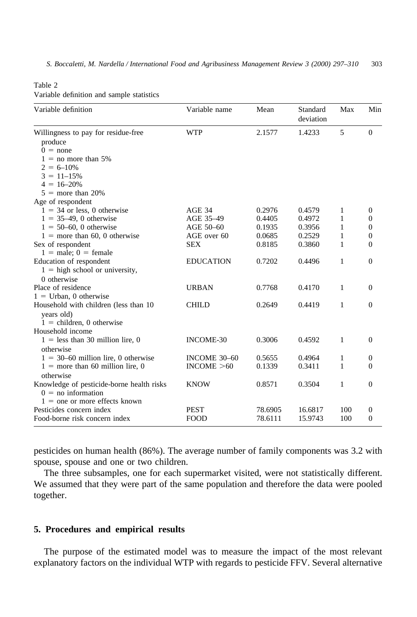*S. Boccaletti, M. Nardella / International Food and Agribusiness Management Review 3 (2000) 297–310* 303

## Table 2

Variable definition and sample statistics

| 5<br>$\Omega$<br>Willingness to pay for residue-free<br><b>WTP</b><br>2.1577<br>1.4233<br>produce<br>$0 = none$<br>$1 =$ no more than 5%<br>$2 = 6 - 10\%$<br>$3 = 11 - 15\%$<br>$4 = 16 - 20%$<br>$5 =$ more than 20%<br>Age of respondent<br>$1 = 34$ or less, 0 otherwise<br>AGE 34<br>0.2976<br>0.4579<br>1<br>$\theta$<br>$1 = 35 - 49$ , 0 otherwise<br>AGE 35-49<br>0.4405<br>0.4972<br>1<br>$\overline{0}$<br>AGE 50-60<br>$1 = 50 - 60$ , 0 otherwise<br>0.1935<br>0.3956<br>1<br>$\overline{0}$<br>AGE over 60<br>0.0685<br>$1 =$ more than 60, 0 otherwise<br>0.2529<br>1<br>$\overline{0}$<br>Sex of respondent<br><b>SEX</b><br>0.8185<br>0.3860<br>1<br>$\overline{0}$<br>$1 =$ male; $0 =$ female<br>Education of respondent<br>$\mathbf{1}$<br>$\theta$<br><b>EDUCATION</b><br>0.7202<br>0.4496<br>$1 =$ high school or university,<br>0 otherwise<br>Place of residence<br>0.7768<br>0.4170<br>$\mathbf{1}$<br><b>URBAN</b><br>$\Omega$<br>$1 =$ Urban, 0 otherwise<br>$\mathbf{1}$<br>Household with children (less than 10)<br><b>CHILD</b><br>0.2649<br>0.4419<br>$\Omega$<br>years old)<br>$1 =$ children, 0 otherwise<br>Household income<br>0.3006<br>$1 =$ less than 30 million lire, 0<br>INCOME-30<br>0.4592<br>1<br>$\mathbf{0}$<br>otherwise<br>$1 = 30-60$ million lire, 0 otherwise<br>INCOME 30-60<br>0.5655<br>0.4964<br>1<br>$\boldsymbol{0}$<br>0.3411<br>$1 =$ more than 60 million lire, 0<br>INCOME > 60<br>0.1339<br>1<br>$\Omega$<br>otherwise<br>Knowledge of pesticide-borne health risks<br>0.8571<br>$\mathbf{1}$<br>$\mathbf{0}$<br>0.3504<br><b>KNOW</b><br>$0 = no$ information<br>$1 =$ one or more effects known<br>Pesticides concern index<br><b>PEST</b><br>78.6905<br>16.6817<br>100<br>$\boldsymbol{0}$ | Variable definition | Variable name | Mean | Standard<br>deviation | Max | Min |  |
|--------------------------------------------------------------------------------------------------------------------------------------------------------------------------------------------------------------------------------------------------------------------------------------------------------------------------------------------------------------------------------------------------------------------------------------------------------------------------------------------------------------------------------------------------------------------------------------------------------------------------------------------------------------------------------------------------------------------------------------------------------------------------------------------------------------------------------------------------------------------------------------------------------------------------------------------------------------------------------------------------------------------------------------------------------------------------------------------------------------------------------------------------------------------------------------------------------------------------------------------------------------------------------------------------------------------------------------------------------------------------------------------------------------------------------------------------------------------------------------------------------------------------------------------------------------------------------------------------------------------------------------------------------------------------------------------------------------------------------------------------------------|---------------------|---------------|------|-----------------------|-----|-----|--|
|                                                                                                                                                                                                                                                                                                                                                                                                                                                                                                                                                                                                                                                                                                                                                                                                                                                                                                                                                                                                                                                                                                                                                                                                                                                                                                                                                                                                                                                                                                                                                                                                                                                                                                                                                              |                     |               |      |                       |     |     |  |
|                                                                                                                                                                                                                                                                                                                                                                                                                                                                                                                                                                                                                                                                                                                                                                                                                                                                                                                                                                                                                                                                                                                                                                                                                                                                                                                                                                                                                                                                                                                                                                                                                                                                                                                                                              |                     |               |      |                       |     |     |  |
|                                                                                                                                                                                                                                                                                                                                                                                                                                                                                                                                                                                                                                                                                                                                                                                                                                                                                                                                                                                                                                                                                                                                                                                                                                                                                                                                                                                                                                                                                                                                                                                                                                                                                                                                                              |                     |               |      |                       |     |     |  |
|                                                                                                                                                                                                                                                                                                                                                                                                                                                                                                                                                                                                                                                                                                                                                                                                                                                                                                                                                                                                                                                                                                                                                                                                                                                                                                                                                                                                                                                                                                                                                                                                                                                                                                                                                              |                     |               |      |                       |     |     |  |
|                                                                                                                                                                                                                                                                                                                                                                                                                                                                                                                                                                                                                                                                                                                                                                                                                                                                                                                                                                                                                                                                                                                                                                                                                                                                                                                                                                                                                                                                                                                                                                                                                                                                                                                                                              |                     |               |      |                       |     |     |  |
|                                                                                                                                                                                                                                                                                                                                                                                                                                                                                                                                                                                                                                                                                                                                                                                                                                                                                                                                                                                                                                                                                                                                                                                                                                                                                                                                                                                                                                                                                                                                                                                                                                                                                                                                                              |                     |               |      |                       |     |     |  |
|                                                                                                                                                                                                                                                                                                                                                                                                                                                                                                                                                                                                                                                                                                                                                                                                                                                                                                                                                                                                                                                                                                                                                                                                                                                                                                                                                                                                                                                                                                                                                                                                                                                                                                                                                              |                     |               |      |                       |     |     |  |
|                                                                                                                                                                                                                                                                                                                                                                                                                                                                                                                                                                                                                                                                                                                                                                                                                                                                                                                                                                                                                                                                                                                                                                                                                                                                                                                                                                                                                                                                                                                                                                                                                                                                                                                                                              |                     |               |      |                       |     |     |  |
|                                                                                                                                                                                                                                                                                                                                                                                                                                                                                                                                                                                                                                                                                                                                                                                                                                                                                                                                                                                                                                                                                                                                                                                                                                                                                                                                                                                                                                                                                                                                                                                                                                                                                                                                                              |                     |               |      |                       |     |     |  |
|                                                                                                                                                                                                                                                                                                                                                                                                                                                                                                                                                                                                                                                                                                                                                                                                                                                                                                                                                                                                                                                                                                                                                                                                                                                                                                                                                                                                                                                                                                                                                                                                                                                                                                                                                              |                     |               |      |                       |     |     |  |
|                                                                                                                                                                                                                                                                                                                                                                                                                                                                                                                                                                                                                                                                                                                                                                                                                                                                                                                                                                                                                                                                                                                                                                                                                                                                                                                                                                                                                                                                                                                                                                                                                                                                                                                                                              |                     |               |      |                       |     |     |  |
|                                                                                                                                                                                                                                                                                                                                                                                                                                                                                                                                                                                                                                                                                                                                                                                                                                                                                                                                                                                                                                                                                                                                                                                                                                                                                                                                                                                                                                                                                                                                                                                                                                                                                                                                                              |                     |               |      |                       |     |     |  |
|                                                                                                                                                                                                                                                                                                                                                                                                                                                                                                                                                                                                                                                                                                                                                                                                                                                                                                                                                                                                                                                                                                                                                                                                                                                                                                                                                                                                                                                                                                                                                                                                                                                                                                                                                              |                     |               |      |                       |     |     |  |
|                                                                                                                                                                                                                                                                                                                                                                                                                                                                                                                                                                                                                                                                                                                                                                                                                                                                                                                                                                                                                                                                                                                                                                                                                                                                                                                                                                                                                                                                                                                                                                                                                                                                                                                                                              |                     |               |      |                       |     |     |  |
|                                                                                                                                                                                                                                                                                                                                                                                                                                                                                                                                                                                                                                                                                                                                                                                                                                                                                                                                                                                                                                                                                                                                                                                                                                                                                                                                                                                                                                                                                                                                                                                                                                                                                                                                                              |                     |               |      |                       |     |     |  |
|                                                                                                                                                                                                                                                                                                                                                                                                                                                                                                                                                                                                                                                                                                                                                                                                                                                                                                                                                                                                                                                                                                                                                                                                                                                                                                                                                                                                                                                                                                                                                                                                                                                                                                                                                              |                     |               |      |                       |     |     |  |
|                                                                                                                                                                                                                                                                                                                                                                                                                                                                                                                                                                                                                                                                                                                                                                                                                                                                                                                                                                                                                                                                                                                                                                                                                                                                                                                                                                                                                                                                                                                                                                                                                                                                                                                                                              |                     |               |      |                       |     |     |  |
|                                                                                                                                                                                                                                                                                                                                                                                                                                                                                                                                                                                                                                                                                                                                                                                                                                                                                                                                                                                                                                                                                                                                                                                                                                                                                                                                                                                                                                                                                                                                                                                                                                                                                                                                                              |                     |               |      |                       |     |     |  |
|                                                                                                                                                                                                                                                                                                                                                                                                                                                                                                                                                                                                                                                                                                                                                                                                                                                                                                                                                                                                                                                                                                                                                                                                                                                                                                                                                                                                                                                                                                                                                                                                                                                                                                                                                              |                     |               |      |                       |     |     |  |
|                                                                                                                                                                                                                                                                                                                                                                                                                                                                                                                                                                                                                                                                                                                                                                                                                                                                                                                                                                                                                                                                                                                                                                                                                                                                                                                                                                                                                                                                                                                                                                                                                                                                                                                                                              |                     |               |      |                       |     |     |  |
|                                                                                                                                                                                                                                                                                                                                                                                                                                                                                                                                                                                                                                                                                                                                                                                                                                                                                                                                                                                                                                                                                                                                                                                                                                                                                                                                                                                                                                                                                                                                                                                                                                                                                                                                                              |                     |               |      |                       |     |     |  |
|                                                                                                                                                                                                                                                                                                                                                                                                                                                                                                                                                                                                                                                                                                                                                                                                                                                                                                                                                                                                                                                                                                                                                                                                                                                                                                                                                                                                                                                                                                                                                                                                                                                                                                                                                              |                     |               |      |                       |     |     |  |
|                                                                                                                                                                                                                                                                                                                                                                                                                                                                                                                                                                                                                                                                                                                                                                                                                                                                                                                                                                                                                                                                                                                                                                                                                                                                                                                                                                                                                                                                                                                                                                                                                                                                                                                                                              |                     |               |      |                       |     |     |  |
|                                                                                                                                                                                                                                                                                                                                                                                                                                                                                                                                                                                                                                                                                                                                                                                                                                                                                                                                                                                                                                                                                                                                                                                                                                                                                                                                                                                                                                                                                                                                                                                                                                                                                                                                                              |                     |               |      |                       |     |     |  |
|                                                                                                                                                                                                                                                                                                                                                                                                                                                                                                                                                                                                                                                                                                                                                                                                                                                                                                                                                                                                                                                                                                                                                                                                                                                                                                                                                                                                                                                                                                                                                                                                                                                                                                                                                              |                     |               |      |                       |     |     |  |
|                                                                                                                                                                                                                                                                                                                                                                                                                                                                                                                                                                                                                                                                                                                                                                                                                                                                                                                                                                                                                                                                                                                                                                                                                                                                                                                                                                                                                                                                                                                                                                                                                                                                                                                                                              |                     |               |      |                       |     |     |  |
|                                                                                                                                                                                                                                                                                                                                                                                                                                                                                                                                                                                                                                                                                                                                                                                                                                                                                                                                                                                                                                                                                                                                                                                                                                                                                                                                                                                                                                                                                                                                                                                                                                                                                                                                                              |                     |               |      |                       |     |     |  |
| 100<br>$\theta$<br>Food-borne risk concern index<br><b>FOOD</b><br>78.6111<br>15.9743                                                                                                                                                                                                                                                                                                                                                                                                                                                                                                                                                                                                                                                                                                                                                                                                                                                                                                                                                                                                                                                                                                                                                                                                                                                                                                                                                                                                                                                                                                                                                                                                                                                                        |                     |               |      |                       |     |     |  |

pesticides on human health (86%). The average number of family components was 3.2 with spouse, spouse and one or two children.

The three subsamples, one for each supermarket visited, were not statistically different. We assumed that they were part of the same population and therefore the data were pooled together.

## **5. Procedures and empirical results**

The purpose of the estimated model was to measure the impact of the most relevant explanatory factors on the individual WTP with regards to pesticide FFV. Several alternative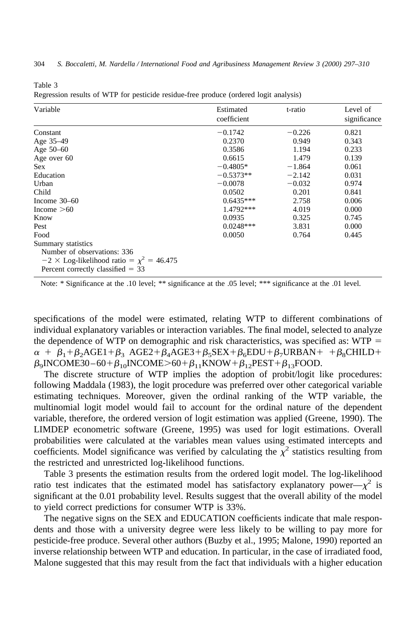Table 3

Regression results of WTP for pesticide residue-free produce (ordered logit analysis)

| Variable                                                                                                                                         | Estimated<br>coefficient | t-ratio  | Level of<br>significance |
|--------------------------------------------------------------------------------------------------------------------------------------------------|--------------------------|----------|--------------------------|
| Constant                                                                                                                                         | $-0.1742$                | $-0.226$ | 0.821                    |
| Age 35–49                                                                                                                                        | 0.2370                   | 0.949    | 0.343                    |
| Age $50 - 60$                                                                                                                                    | 0.3586                   | 1.194    | 0.233                    |
| Age over 60                                                                                                                                      | 0.6615                   | 1.479    | 0.139                    |
| <b>Sex</b>                                                                                                                                       | $-0.4805*$               | $-1.864$ | 0.061                    |
| Education                                                                                                                                        | $-0.5373**$              | $-2.142$ | 0.031                    |
| Urban                                                                                                                                            | $-0.0078$                | $-0.032$ | 0.974                    |
| Child                                                                                                                                            | 0.0502                   | 0.201    | 0.841                    |
| Income $30-60$                                                                                                                                   | $0.6435***$              | 2.758    | 0.006                    |
| Income $>60$                                                                                                                                     | 1.4792***                | 4.019    | 0.000                    |
| Know                                                                                                                                             | 0.0935                   | 0.325    | 0.745                    |
| Pest                                                                                                                                             | $0.0248***$              | 3.831    | 0.000                    |
| Food                                                                                                                                             | 0.0050                   | 0.764    | 0.445                    |
| Summary statistics<br>Number of observations: 336<br>$-2 \times$ Log-likelihood ratio = $\chi^2$ = 46.475<br>Percent correctly classified $=$ 33 |                          |          |                          |

Note: \* Significance at the .10 level; \*\* significance at the .05 level; \*\*\* significance at the .01 level.

specifications of the model were estimated, relating WTP to different combinations of individual explanatory variables or interaction variables. The final model, selected to analyze the dependence of WTP on demographic and risk characteristics, was specified as:  $WTP =$  $\alpha + \beta_1 + \beta_2 AGE1 + \beta_3 AGE2 + \beta_4 AGE3 + \beta_5 SEX + \beta_6 EDU + \beta_7 URBAN + \beta_8 CHILD +$  $\beta_9$ INCOME30–60+ $\beta_{10}$ INCOME>60+ $\beta_{11}$ KNOW+ $\beta_{12}$ PEST+ $\beta_{13}$ FOOD.

The discrete structure of WTP implies the adoption of probit/logit like procedures: following Maddala (1983), the logit procedure was preferred over other categorical variable estimating techniques. Moreover, given the ordinal ranking of the WTP variable, the multinomial logit model would fail to account for the ordinal nature of the dependent variable, therefore, the ordered version of logit estimation was applied (Greene, 1990). The LIMDEP econometric software (Greene, 1995) was used for logit estimations. Overall probabilities were calculated at the variables mean values using estimated intercepts and coefficients. Model significance was verified by calculating the  $\chi^2$  statistics resulting from the restricted and unrestricted log-likelihood functions.

Table 3 presents the estimation results from the ordered logit model. The log-likelihood ratio test indicates that the estimated model has satisfactory explanatory power— $\chi^2$  is significant at the 0.01 probability level. Results suggest that the overall ability of the model to yield correct predictions for consumer WTP is 33%.

The negative signs on the SEX and EDUCATION coefficients indicate that male respondents and those with a university degree were less likely to be willing to pay more for pesticide-free produce. Several other authors (Buzby et al., 1995; Malone, 1990) reported an inverse relationship between WTP and education. In particular, in the case of irradiated food, Malone suggested that this may result from the fact that individuals with a higher education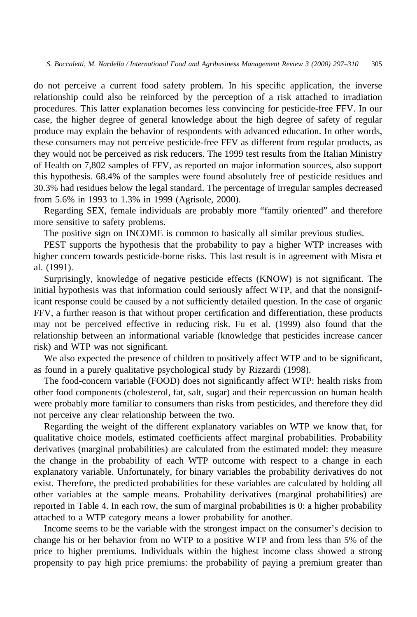do not perceive a current food safety problem. In his specific application, the inverse relationship could also be reinforced by the perception of a risk attached to irradiation procedures. This latter explanation becomes less convincing for pesticide-free FFV. In our case, the higher degree of general knowledge about the high degree of safety of regular produce may explain the behavior of respondents with advanced education. In other words, these consumers may not perceive pesticide-free FFV as different from regular products, as they would not be perceived as risk reducers. The 1999 test results from the Italian Ministry of Health on 7,802 samples of FFV, as reported on major information sources, also support this hypothesis. 68.4% of the samples were found absolutely free of pesticide residues and 30.3% had residues below the legal standard. The percentage of irregular samples decreased from 5.6% in 1993 to 1.3% in 1999 (Agrisole, 2000).

Regarding SEX, female individuals are probably more "family oriented" and therefore more sensitive to safety problems.

The positive sign on INCOME is common to basically all similar previous studies.

PEST supports the hypothesis that the probability to pay a higher WTP increases with higher concern towards pesticide-borne risks. This last result is in agreement with Misra et al. (1991).

Surprisingly, knowledge of negative pesticide effects (KNOW) is not significant. The initial hypothesis was that information could seriously affect WTP, and that the nonsignificant response could be caused by a not sufficiently detailed question. In the case of organic FFV, a further reason is that without proper certification and differentiation, these products may not be perceived effective in reducing risk. Fu et al. (1999) also found that the relationship between an informational variable (knowledge that pesticides increase cancer risk) and WTP was not significant.

We also expected the presence of children to positively affect WTP and to be significant, as found in a purely qualitative psychological study by Rizzardi (1998).

The food-concern variable (FOOD) does not significantly affect WTP: health risks from other food components (cholesterol, fat, salt, sugar) and their repercussion on human health were probably more familiar to consumers than risks from pesticides, and therefore they did not perceive any clear relationship between the two.

Regarding the weight of the different explanatory variables on WTP we know that, for qualitative choice models, estimated coefficients affect marginal probabilities. Probability derivatives (marginal probabilities) are calculated from the estimated model: they measure the change in the probability of each WTP outcome with respect to a change in each explanatory variable. Unfortunately, for binary variables the probability derivatives do not exist. Therefore, the predicted probabilities for these variables are calculated by holding all other variables at the sample means. Probability derivatives (marginal probabilities) are reported in Table 4. In each row, the sum of marginal probabilities is 0: a higher probability attached to a WTP category means a lower probability for another.

Income seems to be the variable with the strongest impact on the consumer's decision to change his or her behavior from no WTP to a positive WTP and from less than 5% of the price to higher premiums. Individuals within the highest income class showed a strong propensity to pay high price premiums: the probability of paying a premium greater than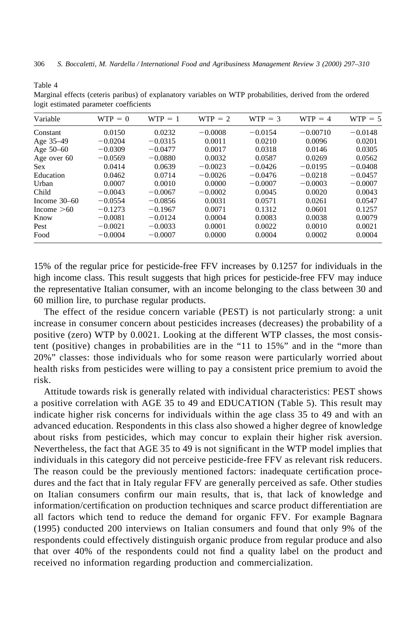|--|--|

Marginal effects (ceteris paribus) of explanatory variables on WTP probabilities, derived from the ordered logit estimated parameter coefficients

| Variable       | $WTP = 0$ | $WTP = 1$ | $WTP = 2$ | $WTP = 3$ | $WTP = 4$  | $WTP = 5$ |
|----------------|-----------|-----------|-----------|-----------|------------|-----------|
| Constant       | 0.0150    | 0.0232    | $-0.0008$ | $-0.0154$ | $-0.00710$ | $-0.0148$ |
| Age 35-49      | $-0.0204$ | $-0.0315$ | 0.0011    | 0.0210    | 0.0096     | 0.0201    |
| Age 50–60      | $-0.0309$ | $-0.0477$ | 0.0017    | 0.0318    | 0.0146     | 0.0305    |
| Age over 60    | $-0.0569$ | $-0.0880$ | 0.0032    | 0.0587    | 0.0269     | 0.0562    |
| <b>Sex</b>     | 0.0414    | 0.0639    | $-0.0023$ | $-0.0426$ | $-0.0195$  | $-0.0408$ |
| Education      | 0.0462    | 0.0714    | $-0.0026$ | $-0.0476$ | $-0.0218$  | $-0.0457$ |
| Urban          | 0.0007    | 0.0010    | 0.0000    | $-0.0007$ | $-0.0003$  | $-0.0007$ |
| Child          | $-0.0043$ | $-0.0067$ | $-0.0002$ | 0.0045    | 0.0020     | 0.0043    |
| Income $30-60$ | $-0.0554$ | $-0.0856$ | 0.0031    | 0.0571    | 0.0261     | 0.0547    |
| Income $>60$   | $-0.1273$ | $-0.1967$ | 0.0071    | 0.1312    | 0.0601     | 0.1257    |
| Know           | $-0.0081$ | $-0.0124$ | 0.0004    | 0.0083    | 0.0038     | 0.0079    |
| Pest           | $-0.0021$ | $-0.0033$ | 0.0001    | 0.0022    | 0.0010     | 0.0021    |
| Food           | $-0.0004$ | $-0.0007$ | 0.0000    | 0.0004    | 0.0002     | 0.0004    |

15% of the regular price for pesticide-free FFV increases by 0.1257 for individuals in the high income class. This result suggests that high prices for pesticide-free FFV may induce the representative Italian consumer, with an income belonging to the class between 30 and 60 million lire, to purchase regular products.

The effect of the residue concern variable (PEST) is not particularly strong: a unit increase in consumer concern about pesticides increases (decreases) the probability of a positive (zero) WTP by 0.0021. Looking at the different WTP classes, the most consistent (positive) changes in probabilities are in the "11 to 15%" and in the "more than 20%" classes: those individuals who for some reason were particularly worried about health risks from pesticides were willing to pay a consistent price premium to avoid the risk.

Attitude towards risk is generally related with individual characteristics: PEST shows a positive correlation with AGE 35 to 49 and EDUCATION (Table 5). This result may indicate higher risk concerns for individuals within the age class 35 to 49 and with an advanced education. Respondents in this class also showed a higher degree of knowledge about risks from pesticides, which may concur to explain their higher risk aversion. Nevertheless, the fact that AGE 35 to 49 is not significant in the WTP model implies that individuals in this category did not perceive pesticide-free FFV as relevant risk reducers. The reason could be the previously mentioned factors: inadequate certification procedures and the fact that in Italy regular FFV are generally perceived as safe. Other studies on Italian consumers confirm our main results, that is, that lack of knowledge and information/certification on production techniques and scarce product differentiation are all factors which tend to reduce the demand for organic FFV. For example Bagnara (1995) conducted 200 interviews on Italian consumers and found that only 9% of the respondents could effectively distinguish organic produce from regular produce and also that over 40% of the respondents could not find a quality label on the product and received no information regarding production and commercialization.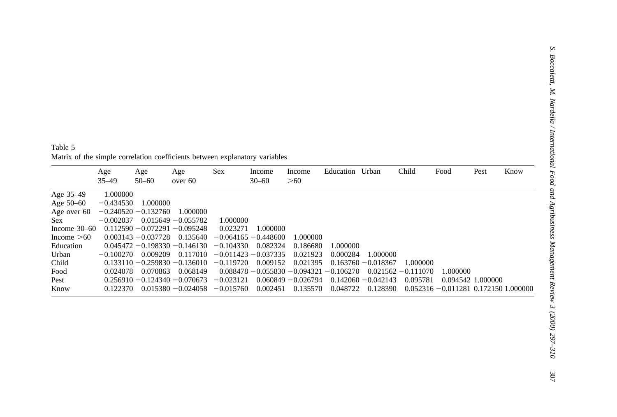Table 5Matrix of the simple correlation coefficients between explanatory variables

|                | Age<br>$35 - 49$       | Age<br>$50 - 60$      | Age<br>over 60                   | Sex         | Income<br>$30 - 60$    | Income<br>>60                               | Education | Urban                 | Child                 | Food                                      | Pest              | Know |
|----------------|------------------------|-----------------------|----------------------------------|-------------|------------------------|---------------------------------------------|-----------|-----------------------|-----------------------|-------------------------------------------|-------------------|------|
| Age 35–49      | 1.000000               |                       |                                  |             |                        |                                             |           |                       |                       |                                           |                   |      |
| Age $50 - 60$  | $-0.434530$            | 1.000000              |                                  |             |                        |                                             |           |                       |                       |                                           |                   |      |
| Age over 60    | $-0.240520 - 0.132760$ |                       | 1.000000                         |             |                        |                                             |           |                       |                       |                                           |                   |      |
| Sex.           | $-0.002037$            |                       | $0.015649 - 0.055782$            | 1.000000    |                        |                                             |           |                       |                       |                                           |                   |      |
| Income $30-60$ |                        |                       | $0.112590 - 0.072291 - 0.095248$ | 0.023271    | 1.000000               |                                             |           |                       |                       |                                           |                   |      |
| Income $>60$   |                        | $0.003143 - 0.037728$ | 0.135640                         |             | $-0.064165 - 0.448600$ | 1.000000                                    |           |                       |                       |                                           |                   |      |
| Education      |                        |                       | $0.045472 - 0.198330 - 0.146130$ | $-0.104330$ | 0.082324               | 0.186680                                    | .000000   |                       |                       |                                           |                   |      |
| Urban          | $-0.100270$            | 0.009209              | 0.117010                         |             | $-0.011423 - 0.037335$ | 0.021923                                    | 0.000284  | 1.000000              |                       |                                           |                   |      |
| Child          |                        |                       | $0.133110 - 0.259830 - 0.136010$ | $-0.119720$ | 0.009152               | 0.021395                                    |           | $0.163760 - 0.018367$ | 1.000000              |                                           |                   |      |
| Food           | 0.024078               | 0.070863              | 0.068149                         |             |                        | $0.088478 - 0.055830 - 0.094321 - 0.106270$ |           |                       | $0.021562 - 0.111070$ | 1.000000                                  |                   |      |
| Pest           |                        |                       | $0.256910 - 0.124340 - 0.070673$ | $-0.023121$ |                        | $0.060849 - 0.026794$                       |           | $0.142060 - 0.042143$ | 0.095781              |                                           | 0.094542 1.000000 |      |
| Know           | 0.122370               |                       | $0.015380 - 0.024058$            | $-0.015760$ | 0.002451               | 0.135570                                    | 0.048722  | 0.128390              |                       | $0.052316 - 0.011281$ $0.172150$ 1.000000 |                   |      |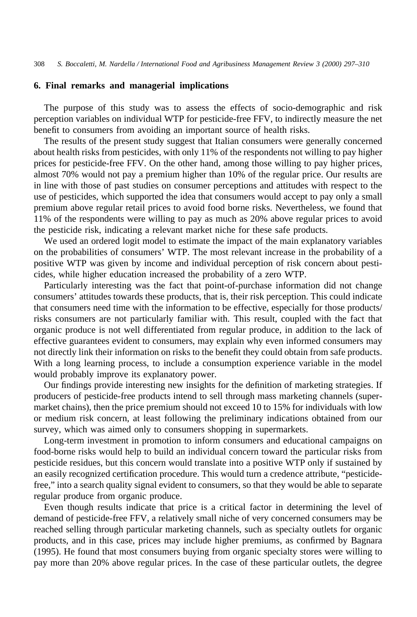#### **6. Final remarks and managerial implications**

The purpose of this study was to assess the effects of socio-demographic and risk perception variables on individual WTP for pesticide-free FFV, to indirectly measure the net benefit to consumers from avoiding an important source of health risks.

The results of the present study suggest that Italian consumers were generally concerned about health risks from pesticides, with only 11% of the respondents not willing to pay higher prices for pesticide-free FFV. On the other hand, among those willing to pay higher prices, almost 70% would not pay a premium higher than 10% of the regular price. Our results are in line with those of past studies on consumer perceptions and attitudes with respect to the use of pesticides, which supported the idea that consumers would accept to pay only a small premium above regular retail prices to avoid food borne risks. Nevertheless, we found that 11% of the respondents were willing to pay as much as 20% above regular prices to avoid the pesticide risk, indicating a relevant market niche for these safe products.

We used an ordered logit model to estimate the impact of the main explanatory variables on the probabilities of consumers' WTP. The most relevant increase in the probability of a positive WTP was given by income and individual perception of risk concern about pesticides, while higher education increased the probability of a zero WTP.

Particularly interesting was the fact that point-of-purchase information did not change consumers' attitudes towards these products, that is, their risk perception. This could indicate that consumers need time with the information to be effective, especially for those products/ risks consumers are not particularly familiar with. This result, coupled with the fact that organic produce is not well differentiated from regular produce, in addition to the lack of effective guarantees evident to consumers, may explain why even informed consumers may not directly link their information on risks to the benefit they could obtain from safe products. With a long learning process, to include a consumption experience variable in the model would probably improve its explanatory power.

Our findings provide interesting new insights for the definition of marketing strategies. If producers of pesticide-free products intend to sell through mass marketing channels (supermarket chains), then the price premium should not exceed 10 to 15% for individuals with low or medium risk concern, at least following the preliminary indications obtained from our survey, which was aimed only to consumers shopping in supermarkets.

Long-term investment in promotion to inform consumers and educational campaigns on food-borne risks would help to build an individual concern toward the particular risks from pesticide residues, but this concern would translate into a positive WTP only if sustained by an easily recognized certification procedure. This would turn a credence attribute, "pesticidefree," into a search quality signal evident to consumers, so that they would be able to separate regular produce from organic produce.

Even though results indicate that price is a critical factor in determining the level of demand of pesticide-free FFV, a relatively small niche of very concerned consumers may be reached selling through particular marketing channels, such as specialty outlets for organic products, and in this case, prices may include higher premiums, as confirmed by Bagnara (1995). He found that most consumers buying from organic specialty stores were willing to pay more than 20% above regular prices. In the case of these particular outlets, the degree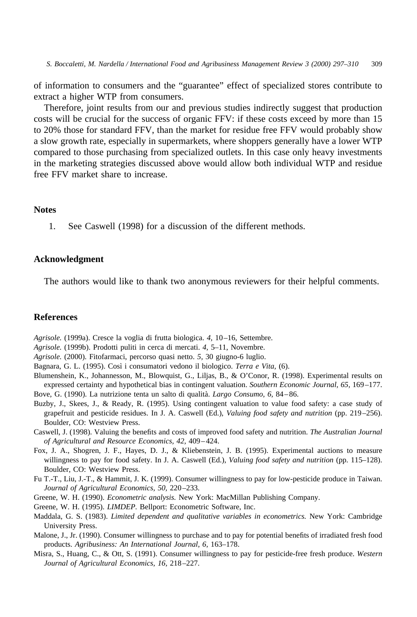of information to consumers and the "guarantee" effect of specialized stores contribute to extract a higher WTP from consumers.

Therefore, joint results from our and previous studies indirectly suggest that production costs will be crucial for the success of organic FFV: if these costs exceed by more than 15 to 20% those for standard FFV, than the market for residue free FFV would probably show a slow growth rate, especially in supermarkets, where shoppers generally have a lower WTP compared to those purchasing from specialized outlets. In this case only heavy investments in the marketing strategies discussed above would allow both individual WTP and residue free FFV market share to increase.

#### **Notes**

1. See Caswell (1998) for a discussion of the different methods.

#### **Acknowledgment**

The authors would like to thank two anonymous reviewers for their helpful comments.

#### **References**

*Agrisole.* (1999a). Cresce la voglia di frutta biologica. *4,* 10–16, Settembre.

*Agrisole.* (1999b). Prodotti puliti in cerca di mercati. *4,* 5–11, Novembre.

*Agrisole.* (2000). Fitofarmaci, percorso quasi netto. *5,* 30 giugno-6 luglio.

Bagnara, G. L. (1995). Così i consumatori vedono il biologico. Terra e Vita, (6).

- Blumenshein, K., Johannesson, M., Blowquist, G., Liljas, B., & O'Conor, R. (1998). Experimental results on expressed certainty and hypothetical bias in contingent valuation. *Southern Economic Journal, 65,* 169–177. Bove, G. (1990). La nutrizione tenta un salto di qualita`. *Largo Consumo, 6,* 84–86.
- Buzby, J., Skees, J., & Ready, R. (1995). Using contingent valuation to value food safety: a case study of grapefruit and pesticide residues. In J. A. Caswell (Ed.), *Valuing food safety and nutrition* (pp. 219–256). Boulder, CO: Westview Press.
- Caswell, J. (1998). Valuing the benefits and costs of improved food safety and nutrition. *The Australian Journal of Agricultural and Resource Economics, 42,* 409–424.
- Fox, J. A., Shogren, J. F., Hayes, D. J., & Kliebenstein, J. B. (1995). Experimental auctions to measure willingness to pay for food safety. In J. A. Caswell (Ed.), *Valuing food safety and nutrition* (pp. 115–128). Boulder, CO: Westview Press.
- Fu T.-T., Liu, J.-T., & Hammit, J. K. (1999). Consumer willingness to pay for low-pesticide produce in Taiwan. *Journal of Agricultural Economics, 50,* 220–233.
- Greene, W. H. (1990). *Econometric analysis.* New York: MacMillan Publishing Company.
- Greene, W. H. (1995). *LIMDEP.* Bellport: Econometric Software, Inc.
- Maddala, G. S. (1983). *Limited dependent and qualitative variables in econometrics.* New York: Cambridge University Press.
- Malone, J., Jr. (1990). Consumer willingness to purchase and to pay for potential benefits of irradiated fresh food products. *Agribusiness: An International Journal, 6,* 163–178.
- Misra, S., Huang, C., & Ott, S. (1991). Consumer willingness to pay for pesticide-free fresh produce. *Western Journal of Agricultural Economics, 16,* 218–227.